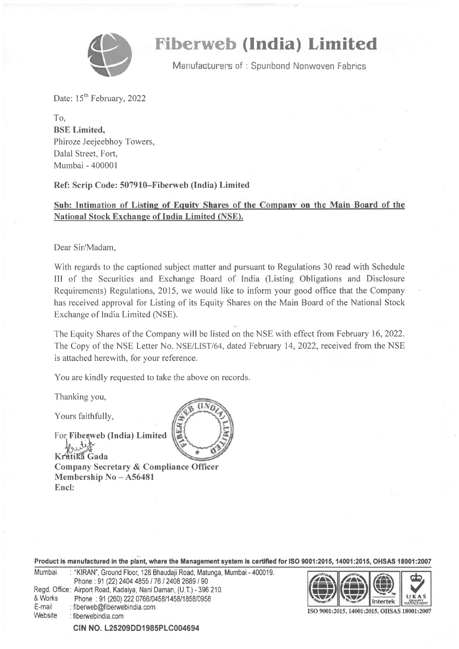

# **Fiberweb (India) Limited**

Manufacturers of: Spunbond Nonwoven Fabrics

Date: 15<sup>th</sup> February, 2022

To, BSE Limited, Phiroze Jeejeebhoy Towers, Dalal Street, Fort, Mumbai - 400001

### Ref: Scrip Code: 507910-Fiberweb (India) Limited

## Sub: Intimation of Listing of Equity Shares of the Company on the Main Board of the National Stock Exchanee of India Limited (NSE).

Dear Sir/Madam,

With regards to the captioned subject matter and pursuant to Regulations 30 read with Schedule III of the Securities and Exchange Board of India (Listing Obligations and Disclosure Requirements) Regulations, 2015, we would like to inform your good office that the Company has received approval for Listing of its Equity Shares on the Main Board of the National Stock Exchange of lndia Limited (NSE).

The Equity Shares of the Company will be listed on the NSE with effect from February 16,2022. The Copy of the NSE Letter No. NSE/LIST/64, dated February 14, 2022, received from the NSE is attached herewith, for your reference.

You are kindly requested to take the above on records.

Thanking you,

Yours faithfully,

For Fiberweb (India) Limited

 $K$ mtika Gada Company Secretary & Compliance Officer Membership No - A56481 Encl:

Product is manufactured in the plant, where the Management system is certified for ISO 9001:2015, 14001:2015, OHSAS 18001:2007

| Mumbai         | : "KIRAN", Ground Floor, 128 Bhaudaji Road, Matunga, Mumbai - 400019. |
|----------------|-----------------------------------------------------------------------|
|                | Phone: 91 (22) 2404 4855 / 76 / 2408 2689 / 90                        |
|                | Regd. Office: Airport Road, Kadaiya, Nani Daman, (U.T.) - 396 210.    |
| & Works        | Phone: 91 (260) 222 0766/0458/1458/1858/0958                          |
| E-mail         | : fiberweb@fiberwebindia.com                                          |
| <b>Website</b> | : fiberwebindia.com                                                   |
|                |                                                                       |



ISO 9001:2015, 14001:2015, OHSAS 18001:2007

CIN NO. L25209DD1985PLC004694